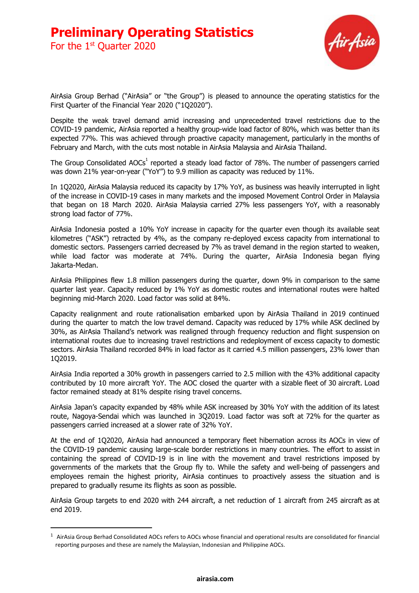For the  $1<sup>st</sup>$  Quarter 2020



AirAsia Group Berhad ("AirAsia" or "the Group") is pleased to announce the operating statistics for the First Quarter of the Financial Year 2020 ("1Q2020").

Despite the weak travel demand amid increasing and unprecedented travel restrictions due to the COVID-19 pandemic, AirAsia reported a healthy group-wide load factor of 80%, which was better than its expected 77%. This was achieved through proactive capacity management, particularly in the months of February and March, with the cuts most notable in AirAsia Malaysia and AirAsia Thailand.

The Group Consolidated AOCs<sup>1</sup> reported a steady load factor of 78%. The number of passengers carried was down 21% year-on-year ("YoY") to 9.9 million as capacity was reduced by 11%.

In 1Q2020, AirAsia Malaysia reduced its capacity by 17% YoY, as business was heavily interrupted in light of the increase in COVID-19 cases in many markets and the imposed Movement Control Order in Malaysia that began on 18 March 2020. AirAsia Malaysia carried 27% less passengers YoY, with a reasonably strong load factor of 77%.

AirAsia Indonesia posted a 10% YoY increase in capacity for the quarter even though its available seat kilometres ("ASK") retracted by 4%, as the company re-deployed excess capacity from international to domestic sectors. Passengers carried decreased by 7% as travel demand in the region started to weaken, while load factor was moderate at 74%. During the quarter, AirAsia Indonesia began flying Jakarta-Medan.

AirAsia Philippines flew 1.8 million passengers during the quarter, down 9% in comparison to the same quarter last year. Capacity reduced by 1% YoY as domestic routes and international routes were halted beginning mid-March 2020. Load factor was solid at 84%.

Capacity realignment and route rationalisation embarked upon by AirAsia Thailand in 2019 continued during the quarter to match the low travel demand. Capacity was reduced by 17% while ASK declined by 30%, as AirAsia Thailand's network was realigned through frequency reduction and flight suspension on international routes due to increasing travel restrictions and redeployment of excess capacity to domestic sectors. AirAsia Thailand recorded 84% in load factor as it carried 4.5 million passengers, 23% lower than 1Q2019.

AirAsia India reported a 30% growth in passengers carried to 2.5 million with the 43% additional capacity contributed by 10 more aircraft YoY. The AOC closed the quarter with a sizable fleet of 30 aircraft. Load factor remained steady at 81% despite rising travel concerns.

AirAsia Japan's capacity expanded by 48% while ASK increased by 30% YoY with the addition of its latest route, Nagoya-Sendai which was launched in 3Q2019. Load factor was soft at 72% for the quarter as passengers carried increased at a slower rate of 32% YoY.

At the end of 1Q2020, AirAsia had announced a temporary fleet hibernation across its AOCs in view of the COVID-19 pandemic causing large-scale border restrictions in many countries. The effort to assist in containing the spread of COVID-19 is in line with the movement and travel restrictions imposed by governments of the markets that the Group fly to. While the safety and well-being of passengers and employees remain the highest priority, AirAsia continues to proactively assess the situation and is prepared to gradually resume its flights as soon as possible.

AirAsia Group targets to end 2020 with 244 aircraft, a net reduction of 1 aircraft from 245 aircraft as at end 2019.

 $1$  AirAsia Group Berhad Consolidated AOCs refers to AOCs whose financial and operational results are consolidated for financial reporting purposes and these are namely the Malaysian, Indonesian and Philippine AOCs.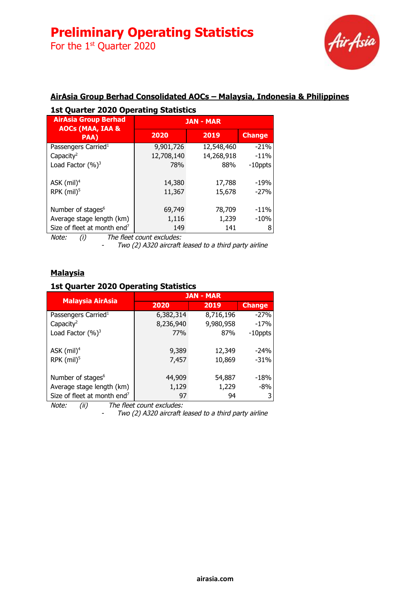For the  $1<sup>st</sup>$  Quarter 2020



### **AirAsia Group Berhad Consolidated AOCs – Malaysia, Indonesia & Philippines**

| <b>1st Quarter 2020 Operating Statistics</b>               |                  |            |               |
|------------------------------------------------------------|------------------|------------|---------------|
| <b>AirAsia Group Berhad</b><br><b>AOCs (MAA, IAA &amp;</b> | <b>JAN - MAR</b> |            |               |
| PAA)                                                       | 2020             | 2019       | <b>Change</b> |
| Passengers Carried <sup>1</sup>                            | 9,901,726        | 12,548,460 | $-21%$        |
| Capacity <sup>2</sup>                                      | 12,708,140       | 14,268,918 | $-11%$        |
| Load Factor $(\%)^3$                                       | <b>78%</b>       | 88%        | $-10$ ppts    |
| ASK $(mil)^4$                                              | 14,380           | 17,788     | $-19%$        |
| RPK $(mil)^5$                                              | 11,367           | 15,678     | $-27%$        |
| Number of stages <sup>6</sup>                              | 69,749           | 78,709     | $-11%$        |
| Average stage length (km)                                  | 1,116            | 1,239      | $-10%$        |
| Size of fleet at month end <sup>7</sup>                    | 149              | 141        | 8             |

Note: (i) The fleet count excludes:

- Two (2) A320 aircraft leased to <sup>a</sup> third party airline

### **Malaysia**

### **1st Quarter 2020 Operating Statistics**

|                                         | <b>JAN - MAR</b> |           |               |
|-----------------------------------------|------------------|-----------|---------------|
| <b>Malaysia AirAsia</b>                 | 2020             | 2019      | <b>Change</b> |
| Passengers Carried <sup>1</sup>         | 6,382,314        | 8,716,196 | $-27%$        |
| Capacity <sup>2</sup>                   | 8,236,940        | 9,980,958 | $-17%$        |
| Load Factor (%) <sup>3</sup>            | 77%              | 87%       | $-10$ ppts    |
|                                         |                  |           |               |
| ASK $(mil)^4$                           | 9,389            | 12,349    | $-24%$        |
| RPK $(mil)^5$                           | 7,457            | 10,869    | $-31%$        |
|                                         |                  |           |               |
| Number of stages <sup>6</sup>           | 44,909           | 54,887    | $-18%$        |
| Average stage length (km)               | 1,129            | 1,229     | -8%           |
| Size of fleet at month end <sup>7</sup> | 97               | 94        | 3             |

Note: (ii) The fleet count excludes:

- Two (2) A320 aircraft leased to <sup>a</sup> third party airline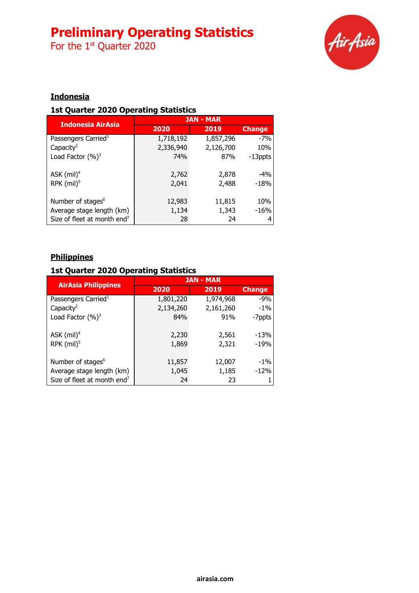For the  $1<sup>st</sup>$  Quarter 2020



## **Indonesia**

### **1st Quarter 2020 Operating Statistics**

| <b>Indonesia AirAsia</b>                | <b>JAN - MAR</b> |           |               |
|-----------------------------------------|------------------|-----------|---------------|
|                                         | 2020             | 2019      | <b>Change</b> |
| Passengers Carried <sup>1</sup>         | 1,718,192        | 1,857,296 | $-7%$         |
| Capacity <sup>2</sup>                   | 2,336,940        | 2,126,700 | 10%           |
| Load Factor $(%)^3$                     | 74%              | 87%       | -13ppts       |
|                                         |                  |           |               |
| ASK $(mil)^4$                           | 2,762            | 2,878     | $-4%$         |
| RPK $(mil)^5$                           | 2,041            | 2,488     | $-18%$        |
|                                         |                  |           |               |
| Number of stages <sup>6</sup>           | 12,983           | 11,815    | 10%           |
| Average stage length (km)               | 1,134            | 1,343     | $-16%$        |
| Size of fleet at month end <sup>7</sup> | 28               | 24        |               |

## **Philippines**

### **1st Quarter 2020 Operating Statistics**

|                                         | <b>JAN - MAR</b> |           |               |
|-----------------------------------------|------------------|-----------|---------------|
| <b>AirAsia Philippines</b>              | 2020             | 2019      | <b>Change</b> |
| Passengers Carried <sup>1</sup>         | 1,801,220        | 1,974,968 | $-9%$         |
| Capacity <sup>2</sup>                   | 2,134,260        | 2,161,260 | $-1\%$        |
| Load Factor $(%)^3$                     | 84%              | 91%       | -7ppts        |
|                                         |                  |           |               |
| ASK $(mil)^4$                           | 2,230            | 2,561     | $-13%$        |
| RPK $(mil)^5$                           | 1,869            | 2,321     | $-19%$        |
|                                         |                  |           |               |
| Number of stages <sup>6</sup>           | 11,857           | 12,007    | $-1\%$        |
| Average stage length (km)               | 1,045            | 1,185     | $-12%$        |
| Size of fleet at month end <sup>7</sup> | 24               | 23        |               |
|                                         |                  |           |               |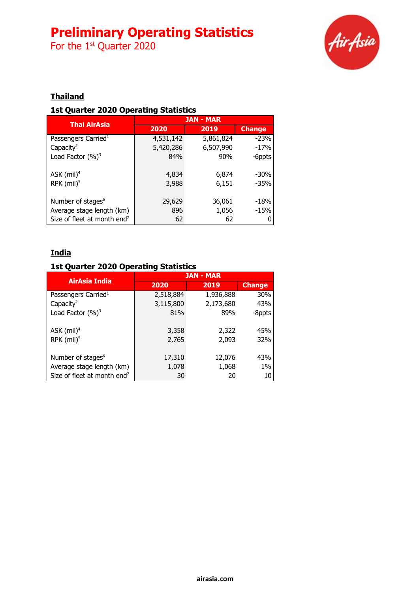For the  $1<sup>st</sup>$  Quarter 2020



## **Thailand**

### **1st Quarter 2020 Operating Statistics**

|                                         | <b>JAN - MAR</b> |           |               |
|-----------------------------------------|------------------|-----------|---------------|
| <b>Thai AirAsia</b>                     | 2020             | 2019      | <b>Change</b> |
| Passengers Carried <sup>1</sup>         | 4,531,142        | 5,861,824 | $-23%$        |
| Capacity <sup>2</sup>                   | 5,420,286        | 6,507,990 | $-17%$        |
| Load Factor $(%)^3$                     | 84%              | 90%       | -6ppts        |
| ASK $(mil)^4$                           | 4,834            | 6,874     | $-30\%$       |
| RPK $(mil)^5$                           | 3,988            | 6,151     | $-35%$        |
| Number of stages <sup>6</sup>           | 29,629           | 36,061    | $-18%$        |
| Average stage length (km)               | 896              | 1,056     | $-15%$        |
| Size of fleet at month end <sup>7</sup> | 62               | 62        |               |

## **India**

## **1st Quarter 2020 Operating Statistics**

| AirAsia India                           | <b>JAN - MAR</b> |           |               |
|-----------------------------------------|------------------|-----------|---------------|
|                                         | 2020             | 2019      | <b>Change</b> |
| Passengers Carried <sup>1</sup>         | 2,518,884        | 1,936,888 | 30%           |
| Capacity <sup>2</sup>                   | 3,115,800        | 2,173,680 | 43%           |
| Load Factor $(%)^3$                     | 81%              | 89%       | -8ppts        |
|                                         |                  |           |               |
| ASK $(mil)^4$                           | 3,358            | 2,322     | 45%           |
| RPK $(mil)^5$                           | 2,765            | 2,093     | 32%           |
|                                         |                  |           |               |
| Number of stages <sup>6</sup>           | 17,310           | 12,076    | 43%           |
| Average stage length (km)               | 1,078            | 1,068     | $1\%$         |
| Size of fleet at month end <sup>7</sup> | 30               | 20        | 10            |